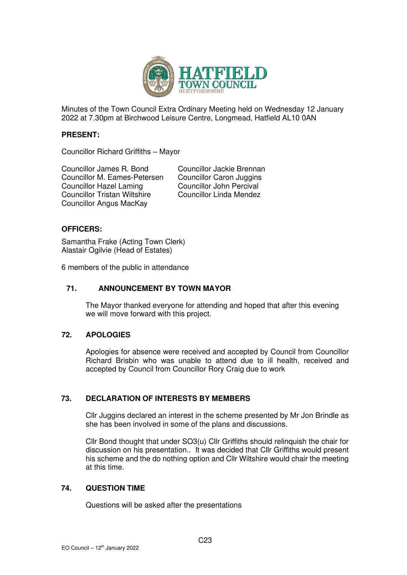

Minutes of the Town Council Extra Ordinary Meeting held on Wednesday 12 January 2022 at 7.30pm at Birchwood Leisure Centre, Longmead, Hatfield AL10 0AN

## **PRESENT:**

Councillor Richard Griffiths – Mayor

Councillor James R. Bond<br>
Councillor M. Eames-Petersen 
Councillor Caron Juggins Councillor M. Eames-Petersen Councillor Hazel Laming<br>
Councillor Tristan Wiltshire<br>
Councillor Linda Mendez<br>
Councillor Linda Mendez Councillor Tristan Wiltshire Councillor Angus MacKay

# **OFFICERS:**

Samantha Frake (Acting Town Clerk) Alastair Ogilvie (Head of Estates)

6 members of the public in attendance

# **71. ANNOUNCEMENT BY TOWN MAYOR**

The Mayor thanked everyone for attending and hoped that after this evening we will move forward with this project.

# **72. APOLOGIES**

Apologies for absence were received and accepted by Council from Councillor Richard Brisbin who was unable to attend due to ill health, received and accepted by Council from Councillor Rory Craig due to work

# **73. DECLARATION OF INTERESTS BY MEMBERS**

Cllr Juggins declared an interest in the scheme presented by Mr Jon Brindle as she has been involved in some of the plans and discussions.

Cllr Bond thought that under SO3(u) Cllr Griffiths should relinquish the chair for discussion on his presentation.. It was decided that Cllr Griffiths would present his scheme and the do nothing option and Cllr Wiltshire would chair the meeting at this time.

# **74. QUESTION TIME**

Questions will be asked after the presentations